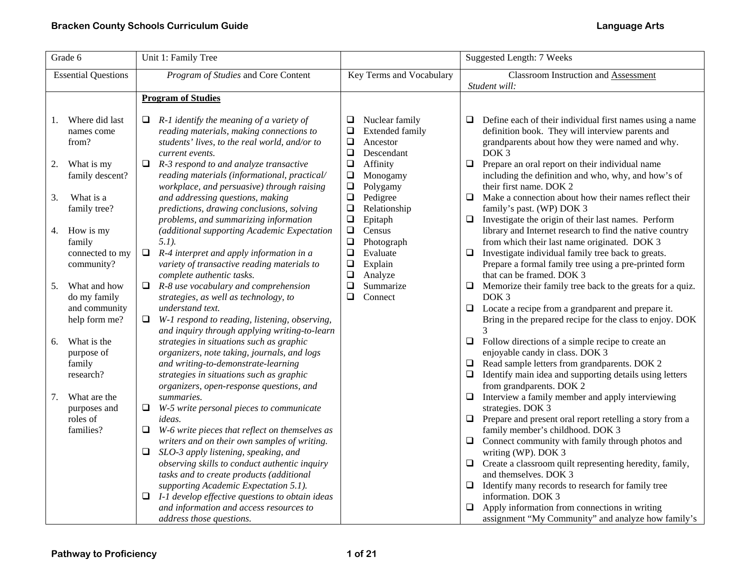| Grade 6                                                                            | Unit 1: Family Tree                                                                                                                                                                                                                                            |                                                                                                                                                   | <b>Suggested Length: 7 Weeks</b>                                                                                                                                                                                                                                                                             |
|------------------------------------------------------------------------------------|----------------------------------------------------------------------------------------------------------------------------------------------------------------------------------------------------------------------------------------------------------------|---------------------------------------------------------------------------------------------------------------------------------------------------|--------------------------------------------------------------------------------------------------------------------------------------------------------------------------------------------------------------------------------------------------------------------------------------------------------------|
| <b>Essential Questions</b>                                                         | Program of Studies and Core Content                                                                                                                                                                                                                            | Key Terms and Vocabulary                                                                                                                          | Classroom Instruction and Assessment                                                                                                                                                                                                                                                                         |
|                                                                                    |                                                                                                                                                                                                                                                                |                                                                                                                                                   | Student will:                                                                                                                                                                                                                                                                                                |
|                                                                                    | <b>Program of Studies</b>                                                                                                                                                                                                                                      |                                                                                                                                                   |                                                                                                                                                                                                                                                                                                              |
| Where did last<br>1.<br>names come<br>from?<br>What is my<br>2.<br>family descent? | $R-1$ identify the meaning of a variety of<br>□<br>reading materials, making connections to<br>students' lives, to the real world, and/or to<br>current events.<br>R-3 respond to and analyze transactive<br>□<br>reading materials (informational, practical/ | Nuclear family<br>$\Box$<br><b>Extended family</b><br>⊔<br>$\Box$<br>Ancestor<br>$\Box$<br>Descendant<br>$\Box$<br>Affinity<br>$\Box$<br>Monogamy | Define each of their individual first names using a name<br>❏<br>definition book. They will interview parents and<br>grandparents about how they were named and why.<br>DOK <sub>3</sub><br>Prepare an oral report on their individual name<br>$\Box$<br>including the definition and who, why, and how's of |
| What is a<br>3.<br>family tree?                                                    | workplace, and persuasive) through raising<br>and addressing questions, making<br>predictions, drawing conclusions, solving<br>problems, and summarizing information                                                                                           | $\Box$<br>Polygamy<br>$\Box$<br>Pedigree<br>$\Box$<br>Relationship<br>$\Box$<br>Epitaph                                                           | their first name. DOK 2<br>$\Box$<br>Make a connection about how their names reflect their<br>family's past. (WP) DOK 3<br>Investigate the origin of their last names. Perform<br>$\Box$                                                                                                                     |
| How is my<br>4.<br>family<br>connected to my<br>community?                         | (additional supporting Academic Expectation<br>$5.1$ ).<br>$\Box$<br>R-4 interpret and apply information in a<br>variety of transactive reading materials to                                                                                                   | $\Box$<br>Census<br>$\Box$<br>Photograph<br>$\Box$<br>Evaluate<br>$\Box$<br>Explain                                                               | library and Internet research to find the native country<br>from which their last name originated. DOK 3<br>Investigate individual family tree back to greats.<br>□<br>Prepare a formal family tree using a pre-printed form                                                                                 |
| What and how<br>5.<br>do my family<br>and community                                | complete authentic tasks.<br>R-8 use vocabulary and comprehension<br>Q.<br>strategies, as well as technology, to<br>understand text.                                                                                                                           | $\Box$<br>Analyze<br>$\Box$<br>Summarize<br>$\Box$<br>Connect                                                                                     | that can be framed. DOK 3<br>$\Box$<br>Memorize their family tree back to the greats for a quiz.<br>DOK <sub>3</sub><br>$\Box$ Locate a recipe from a grandparent and prepare it.                                                                                                                            |
| help form me?                                                                      | W-1 respond to reading, listening, observing,<br>$\Box$<br>and inquiry through applying writing-to-learn                                                                                                                                                       |                                                                                                                                                   | Bring in the prepared recipe for the class to enjoy. DOK<br>3                                                                                                                                                                                                                                                |
| What is the<br>6.<br>purpose of<br>family<br>research?                             | strategies in situations such as graphic<br>organizers, note taking, journals, and logs<br>and writing-to-demonstrate-learning<br>strategies in situations such as graphic<br>organizers, open-response questions, and                                         |                                                                                                                                                   | $\Box$ Follow directions of a simple recipe to create an<br>enjoyable candy in class. DOK 3<br>Read sample letters from grandparents. DOK 2<br>$\Box$<br>Identify main idea and supporting details using letters<br>$\Box$<br>from grandparents. DOK 2                                                       |
| What are the<br>7.<br>purposes and<br>roles of<br>families?                        | summaries.<br>$\Box$<br>W-5 write personal pieces to communicate<br>ideas.<br>W-6 write pieces that reflect on themselves as<br>□<br>writers and on their own samples of writing.                                                                              |                                                                                                                                                   | Interview a family member and apply interviewing<br>□<br>strategies. DOK 3<br>Prepare and present oral report retelling a story from a<br>□<br>family member's childhood. DOK 3<br>Connect community with family through photos and<br>$\Box$                                                                |
|                                                                                    | SLO-3 apply listening, speaking, and<br>$\Box$<br>observing skills to conduct authentic inquiry<br>tasks and to create products (additional<br>supporting Academic Expectation 5.1).                                                                           |                                                                                                                                                   | writing (WP). DOK 3<br>Create a classroom quilt representing heredity, family,<br>$\Box$<br>and themselves. DOK 3<br>Identify many records to research for family tree<br>❏                                                                                                                                  |
|                                                                                    | I-1 develop effective questions to obtain ideas<br>□<br>and information and access resources to<br>address those questions.                                                                                                                                    |                                                                                                                                                   | information. DOK 3<br>Apply information from connections in writing<br>⊔<br>assignment "My Community" and analyze how family's                                                                                                                                                                               |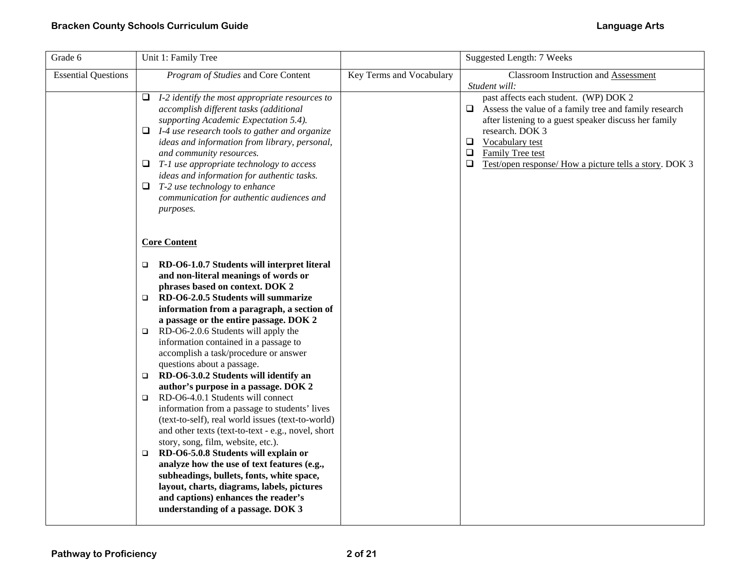| Grade 6                    | Unit 1: Family Tree                                                                                                                                                                                                                                                                                                                                                                                                                                                             |                          | Suggested Length: 7 Weeks                                                                                                                                                                                                                                                                                 |
|----------------------------|---------------------------------------------------------------------------------------------------------------------------------------------------------------------------------------------------------------------------------------------------------------------------------------------------------------------------------------------------------------------------------------------------------------------------------------------------------------------------------|--------------------------|-----------------------------------------------------------------------------------------------------------------------------------------------------------------------------------------------------------------------------------------------------------------------------------------------------------|
| <b>Essential Questions</b> | Program of Studies and Core Content                                                                                                                                                                                                                                                                                                                                                                                                                                             | Key Terms and Vocabulary | <b>Classroom Instruction and Assessment</b><br>Student will:                                                                                                                                                                                                                                              |
|                            | I-2 identify the most appropriate resources to<br>Q.<br>accomplish different tasks (additional<br>supporting Academic Expectation 5.4).<br>$\Box$ I-4 use research tools to gather and organize<br>ideas and information from library, personal,<br>and community resources.<br>$\Box$ T-1 use appropriate technology to access<br>ideas and information for authentic tasks.<br>$\Box$ T-2 use technology to enhance<br>communication for authentic audiences and<br>purposes. |                          | past affects each student. (WP) DOK 2<br>Assess the value of a family tree and family research<br>⊔<br>after listening to a guest speaker discuss her family<br>research. DOK 3<br>Vocabulary test<br>0<br>Family Tree test<br>$\Box$<br>$\Box$<br>Test/open response/ How a picture tells a story. DOK 3 |
|                            | <b>Core Content</b><br>RD-O6-1.0.7 Students will interpret literal<br>$\Box$<br>and non-literal meanings of words or<br>phrases based on context. DOK 2                                                                                                                                                                                                                                                                                                                         |                          |                                                                                                                                                                                                                                                                                                           |
|                            | RD-O6-2.0.5 Students will summarize<br>$\Box$<br>information from a paragraph, a section of<br>a passage or the entire passage. DOK 2                                                                                                                                                                                                                                                                                                                                           |                          |                                                                                                                                                                                                                                                                                                           |
|                            | $\Box$ RD-O6-2.0.6 Students will apply the<br>information contained in a passage to<br>accomplish a task/procedure or answer<br>questions about a passage.                                                                                                                                                                                                                                                                                                                      |                          |                                                                                                                                                                                                                                                                                                           |
|                            | RD-O6-3.0.2 Students will identify an<br>$\Box$<br>author's purpose in a passage. DOK 2<br>RD-O6-4.0.1 Students will connect<br>$\Box$<br>information from a passage to students' lives<br>(text-to-self), real world issues (text-to-world)<br>and other texts (text-to-text - e.g., novel, short<br>story, song, film, website, etc.).<br>RD-O6-5.0.8 Students will explain or<br>$\Box$                                                                                      |                          |                                                                                                                                                                                                                                                                                                           |
|                            | analyze how the use of text features (e.g.,<br>subheadings, bullets, fonts, white space,<br>layout, charts, diagrams, labels, pictures<br>and captions) enhances the reader's<br>understanding of a passage. DOK 3                                                                                                                                                                                                                                                              |                          |                                                                                                                                                                                                                                                                                                           |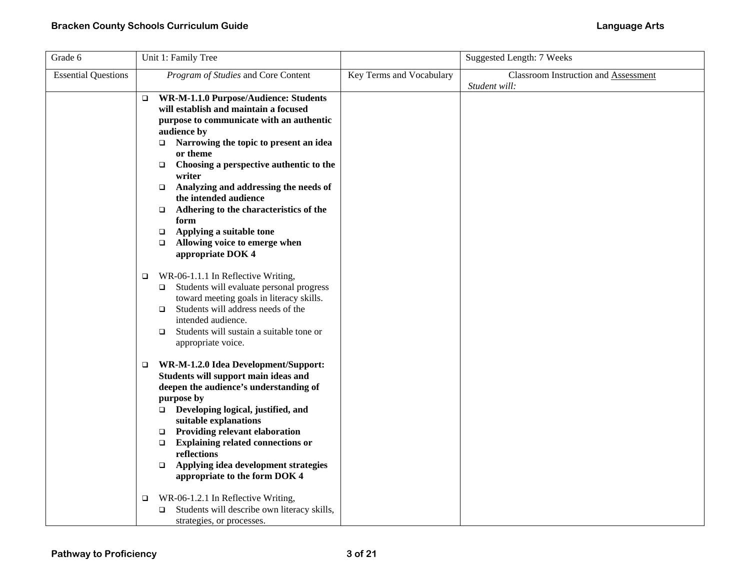| Grade 6                    | Unit 1: Family Tree                                                                                                                                                                                                                                                                                                                                                                                                                                                                                                         |                          | Suggested Length: 7 Weeks                             |
|----------------------------|-----------------------------------------------------------------------------------------------------------------------------------------------------------------------------------------------------------------------------------------------------------------------------------------------------------------------------------------------------------------------------------------------------------------------------------------------------------------------------------------------------------------------------|--------------------------|-------------------------------------------------------|
| <b>Essential Questions</b> | Program of Studies and Core Content                                                                                                                                                                                                                                                                                                                                                                                                                                                                                         | Key Terms and Vocabulary | Classroom Instruction and Assessment<br>Student will: |
|                            | WR-M-1.1.0 Purpose/Audience: Students<br>□<br>will establish and maintain a focused<br>purpose to communicate with an authentic<br>audience by<br>Narrowing the topic to present an idea<br>$\Box$<br>or theme<br>Choosing a perspective authentic to the<br>$\Box$<br>writer<br>Analyzing and addressing the needs of<br>$\Box$<br>the intended audience<br>Adhering to the characteristics of the<br>$\Box$<br>form<br>Applying a suitable tone<br>$\Box$<br>Allowing voice to emerge when<br>$\Box$<br>appropriate DOK 4 |                          |                                                       |
|                            | WR-06-1.1.1 In Reflective Writing,<br>$\Box$<br>$\Box$ Students will evaluate personal progress<br>toward meeting goals in literacy skills.<br>Students will address needs of the<br>$\Box$<br>intended audience.<br>Students will sustain a suitable tone or<br>$\Box$<br>appropriate voice.                                                                                                                                                                                                                               |                          |                                                       |
|                            | WR-M-1.2.0 Idea Development/Support:<br>□<br>Students will support main ideas and<br>deepen the audience's understanding of<br>purpose by<br>$\Box$ Developing logical, justified, and<br>suitable explanations<br><b>Providing relevant elaboration</b><br>$\Box$<br><b>Explaining related connections or</b><br>$\Box$<br>reflections<br>Applying idea development strategies<br>$\Box$<br>appropriate to the form DOK 4                                                                                                  |                          |                                                       |
|                            | WR-06-1.2.1 In Reflective Writing,<br>o<br>Students will describe own literacy skills,<br>o.<br>strategies, or processes.                                                                                                                                                                                                                                                                                                                                                                                                   |                          |                                                       |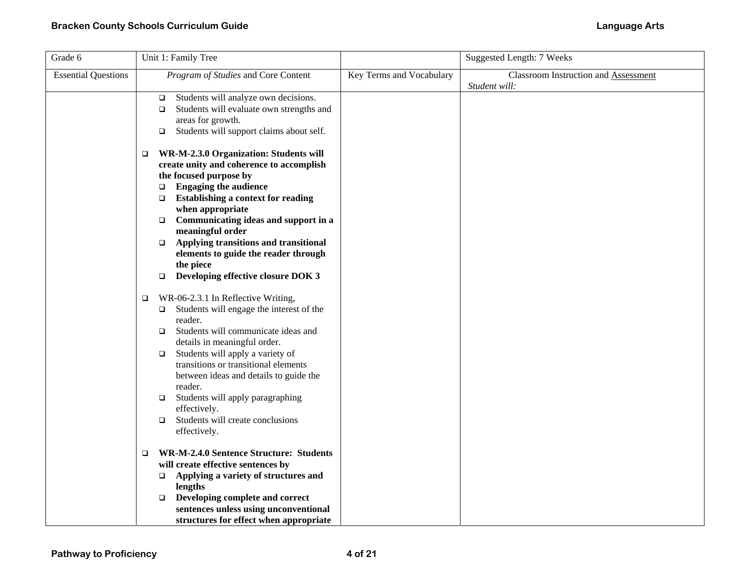| Grade 6                    | Unit 1: Family Tree                                                                                                                                                                                                                                                                                                                                                                                                                                                       |                          | Suggested Length: 7 Weeks                             |
|----------------------------|---------------------------------------------------------------------------------------------------------------------------------------------------------------------------------------------------------------------------------------------------------------------------------------------------------------------------------------------------------------------------------------------------------------------------------------------------------------------------|--------------------------|-------------------------------------------------------|
| <b>Essential Questions</b> | Program of Studies and Core Content                                                                                                                                                                                                                                                                                                                                                                                                                                       | Key Terms and Vocabulary | Classroom Instruction and Assessment<br>Student will: |
|                            | Students will analyze own decisions.<br>$\Box$<br>Students will evaluate own strengths and<br>$\Box$<br>areas for growth.<br>Students will support claims about self.<br>$\Box$                                                                                                                                                                                                                                                                                           |                          |                                                       |
|                            | WR-M-2.3.0 Organization: Students will<br>$\Box$<br>create unity and coherence to accomplish<br>the focused purpose by<br><b>Engaging the audience</b><br>$\Box$<br><b>Establishing a context for reading</b><br>$\Box$<br>when appropriate<br>Communicating ideas and support in a<br>$\Box$<br>meaningful order<br>Applying transitions and transitional<br>$\Box$<br>elements to guide the reader through<br>the piece<br>Developing effective closure DOK 3<br>$\Box$ |                          |                                                       |
|                            | WR-06-2.3.1 In Reflective Writing,<br>$\Box$<br>Students will engage the interest of the<br>$\Box$<br>reader.<br>Students will communicate ideas and<br>$\Box$<br>details in meaningful order.<br>Students will apply a variety of<br>$\Box$<br>transitions or transitional elements<br>between ideas and details to guide the<br>reader.<br>Students will apply paragraphing<br>$\Box$<br>effectively.<br>Students will create conclusions<br>$\Box$<br>effectively.     |                          |                                                       |
|                            | <b>WR-M-2.4.0 Sentence Structure: Students</b><br>$\Box$<br>will create effective sentences by<br>Applying a variety of structures and<br>$\Box$<br>lengths<br>Developing complete and correct<br>$\Box$<br>sentences unless using unconventional<br>structures for effect when appropriate                                                                                                                                                                               |                          |                                                       |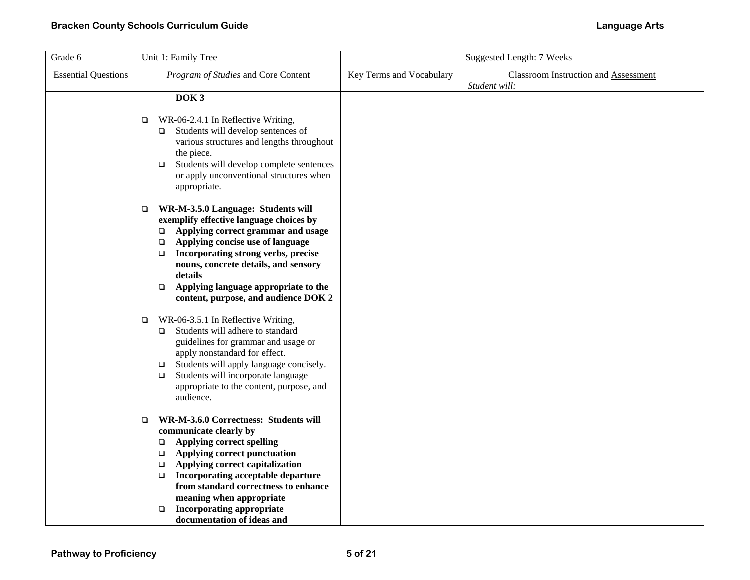| Grade 6                    | Unit 1: Family Tree                                                                                                                                                                                                                                                                                                                                                                                            |                          | <b>Suggested Length: 7 Weeks</b>                      |
|----------------------------|----------------------------------------------------------------------------------------------------------------------------------------------------------------------------------------------------------------------------------------------------------------------------------------------------------------------------------------------------------------------------------------------------------------|--------------------------|-------------------------------------------------------|
| <b>Essential Questions</b> | Program of Studies and Core Content                                                                                                                                                                                                                                                                                                                                                                            | Key Terms and Vocabulary | Classroom Instruction and Assessment<br>Student will: |
|                            | DOK <sub>3</sub>                                                                                                                                                                                                                                                                                                                                                                                               |                          |                                                       |
|                            | WR-06-2.4.1 In Reflective Writing,<br>$\Box$<br>Students will develop sentences of<br>$\Box$<br>various structures and lengths throughout<br>the piece.<br>Students will develop complete sentences<br>$\Box$<br>or apply unconventional structures when<br>appropriate.                                                                                                                                       |                          |                                                       |
|                            | WR-M-3.5.0 Language: Students will<br>$\Box$<br>exemplify effective language choices by<br>Applying correct grammar and usage<br>$\Box$<br>Applying concise use of language<br>$\Box$<br>Incorporating strong verbs, precise<br>$\Box$<br>nouns, concrete details, and sensory<br>details<br>Applying language appropriate to the<br>$\Box$<br>content, purpose, and audience DOK 2                            |                          |                                                       |
|                            | WR-06-3.5.1 In Reflective Writing,<br>▫<br>Students will adhere to standard<br>$\Box$<br>guidelines for grammar and usage or<br>apply nonstandard for effect.<br>Students will apply language concisely.<br>$\Box$<br>Students will incorporate language<br>$\Box$<br>appropriate to the content, purpose, and<br>audience.                                                                                    |                          |                                                       |
|                            | WR-M-3.6.0 Correctness: Students will<br>$\Box$<br>communicate clearly by<br><b>Applying correct spelling</b><br>$\Box$<br>Applying correct punctuation<br>$\Box$<br>Applying correct capitalization<br>$\Box$<br>Incorporating acceptable departure<br>$\Box$<br>from standard correctness to enhance<br>meaning when appropriate<br><b>Incorporating appropriate</b><br>$\Box$<br>documentation of ideas and |                          |                                                       |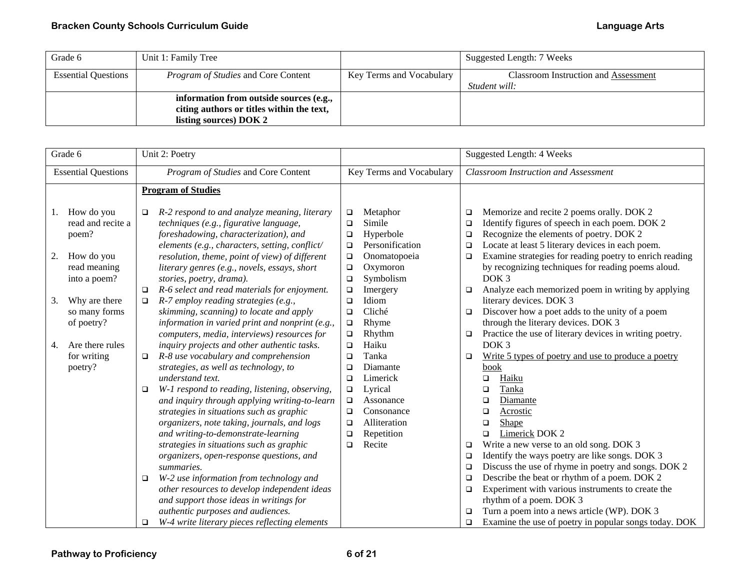| Grade 6                    | Unit 1: Family Tree                        |                          | Suggested Length: 7 Weeks            |
|----------------------------|--------------------------------------------|--------------------------|--------------------------------------|
| <b>Essential Questions</b> | <i>Program of Studies</i> and Core Content | Key Terms and Vocabulary | Classroom Instruction and Assessment |
|                            |                                            |                          | Student will:                        |
|                            | information from outside sources (e.g.,    |                          |                                      |
|                            | citing authors or titles within the text,  |                          |                                      |
|                            | listing sources) DOK 2                     |                          |                                      |

|    | Grade 6                                      | Unit 2: Poetry                                                                                                                                                                                                                                                                                                                                                                                                                                                                                                                                  |                                                                                                                                                                                                                                              | Suggested Length: 4 Weeks                                                                                                                                                                                                                                                                                                                                                                                                                                                 |
|----|----------------------------------------------|-------------------------------------------------------------------------------------------------------------------------------------------------------------------------------------------------------------------------------------------------------------------------------------------------------------------------------------------------------------------------------------------------------------------------------------------------------------------------------------------------------------------------------------------------|----------------------------------------------------------------------------------------------------------------------------------------------------------------------------------------------------------------------------------------------|---------------------------------------------------------------------------------------------------------------------------------------------------------------------------------------------------------------------------------------------------------------------------------------------------------------------------------------------------------------------------------------------------------------------------------------------------------------------------|
|    | <b>Essential Questions</b>                   | Program of Studies and Core Content                                                                                                                                                                                                                                                                                                                                                                                                                                                                                                             | Key Terms and Vocabulary                                                                                                                                                                                                                     | <b>Classroom Instruction and Assessment</b>                                                                                                                                                                                                                                                                                                                                                                                                                               |
|    |                                              | <b>Program of Studies</b>                                                                                                                                                                                                                                                                                                                                                                                                                                                                                                                       |                                                                                                                                                                                                                                              |                                                                                                                                                                                                                                                                                                                                                                                                                                                                           |
| 1. | How do you<br>read and recite a<br>poem?     | R-2 respond to and analyze meaning, literary<br>$\Box$<br>techniques (e.g., figurative language,<br>foreshadowing, characterization), and<br>elements (e.g., characters, setting, conflict/                                                                                                                                                                                                                                                                                                                                                     | Metaphor<br>$\Box$<br>Simile<br>$\Box$<br>Hyperbole<br>$\Box$<br>Personification<br>$\Box$                                                                                                                                                   | Memorize and recite 2 poems orally. DOK 2<br>$\Box$<br>Identify figures of speech in each poem. DOK 2<br>$\Box$<br>Recognize the elements of poetry. DOK 2<br>$\Box$<br>Locate at least 5 literary devices in each poem.<br>$\Box$                                                                                                                                                                                                                                        |
| 2. | How do you<br>read meaning<br>into a poem?   | resolution, theme, point of view) of different<br>literary genres (e.g., novels, essays, short<br>stories, poetry, drama).                                                                                                                                                                                                                                                                                                                                                                                                                      | Onomatopoeia<br>$\Box$<br>Oxymoron<br>$\Box$<br>Symbolism<br>$\Box$                                                                                                                                                                          | Examine strategies for reading poetry to enrich reading<br>$\Box$<br>by recognizing techniques for reading poems aloud.<br>DOK <sub>3</sub>                                                                                                                                                                                                                                                                                                                               |
| 3. | Why are there<br>so many forms<br>of poetry? | R-6 select and read materials for enjoyment.<br>$\Box$<br>$R$ -7 employ reading strategies (e.g.,<br>$\Box$<br>skimming, scanning) to locate and apply<br>information in varied print and nonprint (e.g.,                                                                                                                                                                                                                                                                                                                                       | Imergery<br>$\Box$<br>Idiom<br>$\Box$<br>Cliché<br>$\Box$<br>Rhyme<br>$\Box$                                                                                                                                                                 | Analyze each memorized poem in writing by applying<br>□<br>literary devices. DOK 3<br>Discover how a poet adds to the unity of a poem<br>$\Box$<br>through the literary devices. DOK 3                                                                                                                                                                                                                                                                                    |
| 4. | Are there rules<br>for writing<br>poetry?    | computers, media, interviews) resources for<br>inquiry projects and other authentic tasks.<br>R-8 use vocabulary and comprehension<br>$\Box$<br>strategies, as well as technology, to<br>understand text.<br>W-1 respond to reading, listening, observing,<br>$\Box$<br>and inquiry through applying writing-to-learn<br>strategies in situations such as graphic<br>organizers, note taking, journals, and logs<br>and writing-to-demonstrate-learning<br>strategies in situations such as graphic<br>organizers, open-response questions, and | Rhythm<br>$\Box$<br>Haiku<br>$\Box$<br>Tanka<br>$\Box$<br>Diamante<br>$\Box$<br>Limerick<br>$\Box$<br>Lyrical<br>$\Box$<br>Assonance<br>$\Box$<br>Consonance<br>$\Box$<br>Alliteration<br>$\Box$<br>Repetition<br>$\Box$<br>Recite<br>$\Box$ | Practice the use of literary devices in writing poetry.<br>$\Box$<br>DOK <sub>3</sub><br>Write 5 types of poetry and use to produce a poetry<br>$\Box$<br>book<br>Haiku<br>$\Box$<br>Tanka<br>$\Box$<br>$\Box$<br>Diamante<br>$\Box$<br>Acrostic<br>$\Box$<br>Shape<br><b>Limerick DOK 2</b><br>$\Box$<br>Write a new verse to an old song. DOK 3<br>□<br>Identify the ways poetry are like songs. DOK 3<br>$\Box$<br>Discuss the use of rhyme in poetry and songs. DOK 2 |
|    |                                              | summaries.<br>W-2 use information from technology and<br>$\Box$<br>other resources to develop independent ideas<br>and support those ideas in writings for<br>authentic purposes and audiences.<br>W-4 write literary pieces reflecting elements<br>$\Box$                                                                                                                                                                                                                                                                                      |                                                                                                                                                                                                                                              | $\Box$<br>Describe the beat or rhythm of a poem. DOK 2<br>$\Box$<br>Experiment with various instruments to create the<br>$\Box$<br>rhythm of a poem. DOK 3<br>Turn a poem into a news article (WP). DOK 3<br>❏<br>Examine the use of poetry in popular songs today. DOK<br>$\Box$                                                                                                                                                                                         |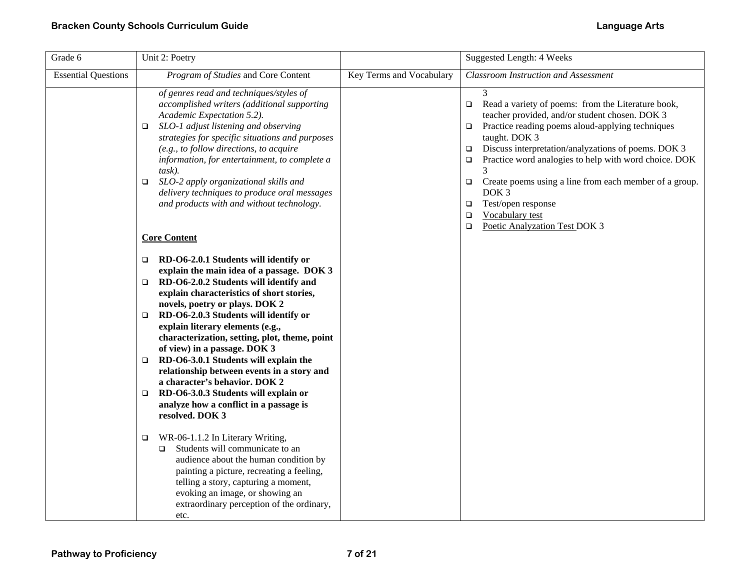| Grade 6                    | Unit 2: Poetry                                                                                                                                                                                                                                                                                                                                                                                                                                                                                                                                                                                                                                 |                          | Suggested Length: 4 Weeks                                                                                                                                                                                                                                                                                                                                                                                                                                                                                                         |
|----------------------------|------------------------------------------------------------------------------------------------------------------------------------------------------------------------------------------------------------------------------------------------------------------------------------------------------------------------------------------------------------------------------------------------------------------------------------------------------------------------------------------------------------------------------------------------------------------------------------------------------------------------------------------------|--------------------------|-----------------------------------------------------------------------------------------------------------------------------------------------------------------------------------------------------------------------------------------------------------------------------------------------------------------------------------------------------------------------------------------------------------------------------------------------------------------------------------------------------------------------------------|
| <b>Essential Questions</b> | Program of Studies and Core Content                                                                                                                                                                                                                                                                                                                                                                                                                                                                                                                                                                                                            | Key Terms and Vocabulary | <b>Classroom Instruction and Assessment</b>                                                                                                                                                                                                                                                                                                                                                                                                                                                                                       |
|                            | of genres read and techniques/styles of<br>accomplished writers (additional supporting<br>Academic Expectation 5.2).<br>SLO-1 adjust listening and observing<br>$\Box$<br>strategies for specific situations and purposes<br>(e.g., to follow directions, to acquire<br>information, for entertainment, to complete a<br>task).<br>SLO-2 apply organizational skills and<br>$\Box$<br>delivery techniques to produce oral messages<br>and products with and without technology.<br><b>Core Content</b>                                                                                                                                         |                          | 3<br>Read a variety of poems: from the Literature book,<br>$\Box$<br>teacher provided, and/or student chosen. DOK 3<br>Practice reading poems aloud-applying techniques<br>□<br>taught. DOK 3<br>Discuss interpretation/analyzations of poems. DOK 3<br>$\Box$<br>Practice word analogies to help with word choice. DOK<br>$\Box$<br>Create poems using a line from each member of a group.<br>$\Box$<br>DOK <sub>3</sub><br>Test/open response<br>$\Box$<br>Vocabulary test<br>$\Box$<br>Poetic Analyzation Test DOK 3<br>$\Box$ |
|                            | RD-O6-2.0.1 Students will identify or<br>$\Box$<br>explain the main idea of a passage. DOK 3<br>RD-O6-2.0.2 Students will identify and<br>▫<br>explain characteristics of short stories,<br>novels, poetry or plays. DOK 2<br>RD-O6-2.0.3 Students will identify or<br>$\Box$<br>explain literary elements (e.g.,<br>characterization, setting, plot, theme, point<br>of view) in a passage. DOK 3<br>RD-O6-3.0.1 Students will explain the<br>$\Box$<br>relationship between events in a story and<br>a character's behavior. DOK 2<br>RD-O6-3.0.3 Students will explain or<br>▫<br>analyze how a conflict in a passage is<br>resolved. DOK 3 |                          |                                                                                                                                                                                                                                                                                                                                                                                                                                                                                                                                   |
|                            | WR-06-1.1.2 In Literary Writing,<br>$\Box$<br>Students will communicate to an<br>$\Box$<br>audience about the human condition by<br>painting a picture, recreating a feeling,<br>telling a story, capturing a moment,<br>evoking an image, or showing an<br>extraordinary perception of the ordinary,<br>etc.                                                                                                                                                                                                                                                                                                                                  |                          |                                                                                                                                                                                                                                                                                                                                                                                                                                                                                                                                   |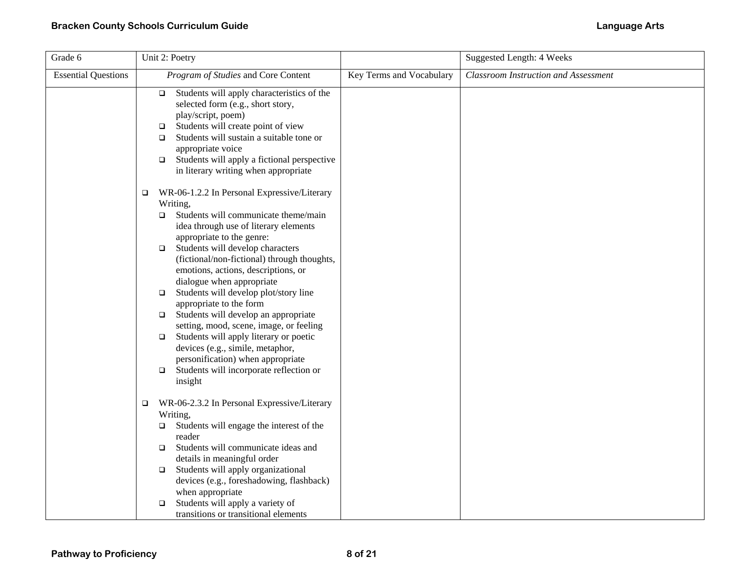| Grade 6                    | Unit 2: Poetry                                                                                                                                                                                                                                                                                                                                                                                                                                                                                                                                                                                                                                                                                                             |                          | <b>Suggested Length: 4 Weeks</b>     |
|----------------------------|----------------------------------------------------------------------------------------------------------------------------------------------------------------------------------------------------------------------------------------------------------------------------------------------------------------------------------------------------------------------------------------------------------------------------------------------------------------------------------------------------------------------------------------------------------------------------------------------------------------------------------------------------------------------------------------------------------------------------|--------------------------|--------------------------------------|
| <b>Essential Questions</b> | Program of Studies and Core Content                                                                                                                                                                                                                                                                                                                                                                                                                                                                                                                                                                                                                                                                                        | Key Terms and Vocabulary | Classroom Instruction and Assessment |
|                            | Students will apply characteristics of the<br>$\Box$<br>selected form (e.g., short story,<br>play/script, poem)<br>Students will create point of view<br>$\Box$<br>Students will sustain a suitable tone or<br>$\Box$<br>appropriate voice<br>Students will apply a fictional perspective<br>$\Box$<br>in literary writing when appropriate                                                                                                                                                                                                                                                                                                                                                                                |                          |                                      |
|                            | WR-06-1.2.2 In Personal Expressive/Literary<br>$\Box$<br>Writing,<br>Students will communicate theme/main<br>▫<br>idea through use of literary elements<br>appropriate to the genre:<br>Students will develop characters<br>$\Box$<br>(fictional/non-fictional) through thoughts,<br>emotions, actions, descriptions, or<br>dialogue when appropriate<br>Students will develop plot/story line<br>$\Box$<br>appropriate to the form<br>$\Box$ Students will develop an appropriate<br>setting, mood, scene, image, or feeling<br>Students will apply literary or poetic<br>$\Box$<br>devices (e.g., simile, metaphor,<br>personification) when appropriate<br>Students will incorporate reflection or<br>$\Box$<br>insight |                          |                                      |
|                            | WR-06-2.3.2 In Personal Expressive/Literary<br>$\Box$<br>Writing,<br>Students will engage the interest of the<br>$\Box$<br>reader<br>Students will communicate ideas and<br>$\Box$<br>details in meaningful order<br>Students will apply organizational<br>$\Box$<br>devices (e.g., foreshadowing, flashback)<br>when appropriate<br>Students will apply a variety of<br>$\Box$<br>transitions or transitional elements                                                                                                                                                                                                                                                                                                    |                          |                                      |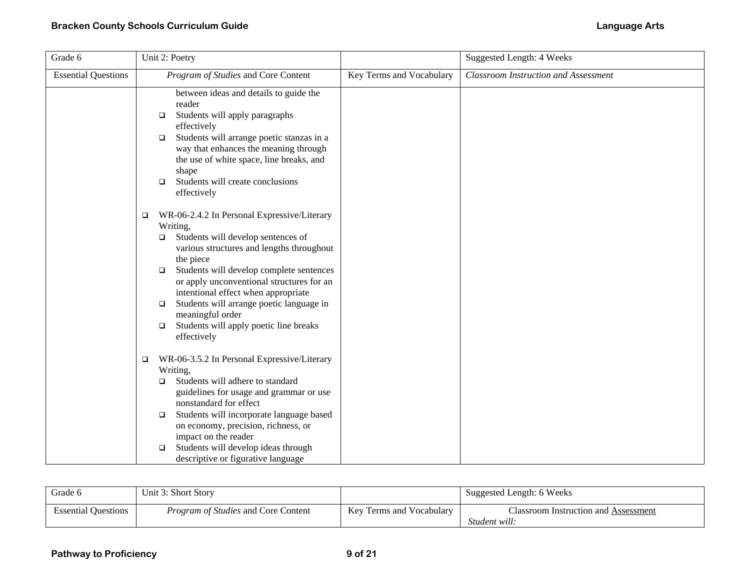| Grade 6                    | Unit 2: Poetry                                                                                                                                                                                                                                                                                                                                                                                                                                                     |                          | Suggested Length: 4 Weeks                   |
|----------------------------|--------------------------------------------------------------------------------------------------------------------------------------------------------------------------------------------------------------------------------------------------------------------------------------------------------------------------------------------------------------------------------------------------------------------------------------------------------------------|--------------------------|---------------------------------------------|
| <b>Essential Questions</b> | Program of Studies and Core Content                                                                                                                                                                                                                                                                                                                                                                                                                                | Key Terms and Vocabulary | <b>Classroom Instruction and Assessment</b> |
|                            | between ideas and details to guide the<br>reader<br>Students will apply paragraphs<br>$\Box$<br>effectively<br>Students will arrange poetic stanzas in a<br>$\Box$<br>way that enhances the meaning through<br>the use of white space, line breaks, and<br>shape<br>Students will create conclusions<br>$\Box$<br>effectively                                                                                                                                      |                          |                                             |
|                            | WR-06-2.4.2 In Personal Expressive/Literary<br>$\Box$<br>Writing,<br>Students will develop sentences of<br>$\Box$<br>various structures and lengths throughout<br>the piece<br>Students will develop complete sentences<br>$\Box$<br>or apply unconventional structures for an<br>intentional effect when appropriate<br>Students will arrange poetic language in<br>$\Box$<br>meaningful order<br>Students will apply poetic line breaks<br>$\Box$<br>effectively |                          |                                             |
|                            | WR-06-3.5.2 In Personal Expressive/Literary<br>$\Box$<br>Writing,<br>Students will adhere to standard<br>$\Box$<br>guidelines for usage and grammar or use<br>nonstandard for effect<br>Students will incorporate language based<br>$\Box$<br>on economy, precision, richness, or<br>impact on the reader<br>Students will develop ideas through<br>$\Box$<br>descriptive or figurative language                                                                   |                          |                                             |

| Grade 6                    | Unit 3: Short Story                        |                          | Suggested Length: 6 Weeks                             |
|----------------------------|--------------------------------------------|--------------------------|-------------------------------------------------------|
| <b>Essential Ouestions</b> | <i>Program of Studies</i> and Core Content | Key Terms and Vocabulary | Classroom Instruction and Assessment<br>Student will: |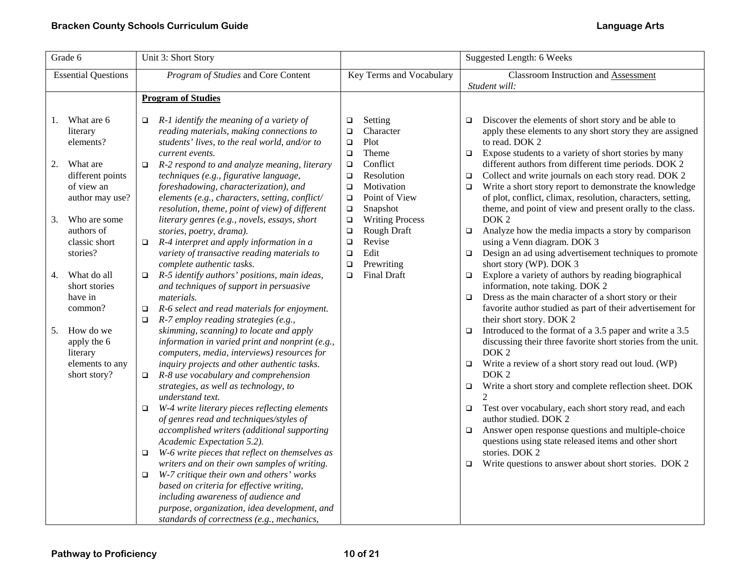| Grade 6                                                             | Unit 3: Short Story                                                                                                                                                                                                                                                                 |                                                                                                                         | Suggested Length: 6 Weeks                                                                                                                                                                                                                                                                                               |
|---------------------------------------------------------------------|-------------------------------------------------------------------------------------------------------------------------------------------------------------------------------------------------------------------------------------------------------------------------------------|-------------------------------------------------------------------------------------------------------------------------|-------------------------------------------------------------------------------------------------------------------------------------------------------------------------------------------------------------------------------------------------------------------------------------------------------------------------|
| <b>Essential Questions</b>                                          | Program of Studies and Core Content                                                                                                                                                                                                                                                 | Key Terms and Vocabulary                                                                                                | <b>Classroom Instruction and Assessment</b>                                                                                                                                                                                                                                                                             |
|                                                                     | <b>Program of Studies</b>                                                                                                                                                                                                                                                           |                                                                                                                         | Student will:                                                                                                                                                                                                                                                                                                           |
|                                                                     |                                                                                                                                                                                                                                                                                     |                                                                                                                         |                                                                                                                                                                                                                                                                                                                         |
| 1. What are 6<br>literary<br>elements?                              | $R-1$ identify the meaning of a variety of<br>$\Box$<br>reading materials, making connections to<br>students' lives, to the real world, and/or to<br>current events.                                                                                                                | Setting<br>$\Box$<br>Character<br>□<br>Plot<br>$\Box$<br>Theme<br>$\Box$                                                | Discover the elements of short story and be able to<br>$\Box$<br>apply these elements to any short story they are assigned<br>to read. DOK 2<br>Expose students to a variety of short stories by many<br>$\Box$                                                                                                         |
| What are<br>2.<br>different points<br>of view an<br>author may use? | R-2 respond to and analyze meaning, literary<br>$\Box$<br>techniques (e.g., figurative language,<br>foreshadowing, characterization), and<br>elements (e.g., characters, setting, conflict/<br>resolution, theme, point of view) of different                                       | Conflict<br>$\Box$<br>Resolution<br>$\Box$<br>Motivation<br>$\Box$<br>Point of View<br>$\Box$<br>Snapshot<br>$\Box$     | different authors from different time periods. DOK 2<br>Collect and write journals on each story read. DOK 2<br>$\Box$<br>Write a short story report to demonstrate the knowledge<br>$\Box$<br>of plot, conflict, climax, resolution, characters, setting,<br>theme, and point of view and present orally to the class. |
| Who are some<br>3.<br>authors of<br>classic short<br>stories?       | literary genres (e.g., novels, essays, short<br>stories, poetry, drama).<br>R-4 interpret and apply information in a<br>$\Box$<br>variety of transactive reading materials to<br>complete authentic tasks.                                                                          | <b>Writing Process</b><br>$\Box$<br>Rough Draft<br>$\Box$<br>Revise<br>$\Box$<br>Edit<br>$\Box$<br>Prewriting<br>$\Box$ | DOK <sub>2</sub><br>Analyze how the media impacts a story by comparison<br>$\Box$<br>using a Venn diagram. DOK 3<br>Design an ad using advertisement techniques to promote<br>$\Box$<br>short story (WP). DOK 3                                                                                                         |
| What do all<br>4.<br>short stories<br>have in<br>common?            | R-5 identify authors' positions, main ideas,<br>$\Box$<br>and techniques of support in persuasive<br><i>materials.</i><br>R-6 select and read materials for enjoyment.<br>$\Box$<br>$R-7$ employ reading strategies (e.g.,<br>$\Box$                                                | <b>Final Draft</b><br>$\Box$                                                                                            | Explore a variety of authors by reading biographical<br>$\Box$<br>information, note taking. DOK 2<br>Dress as the main character of a short story or their<br>$\Box$<br>favorite author studied as part of their advertisement for<br>their short story. DOK 2                                                          |
| How do we<br>5.<br>apply the 6<br>literary                          | skimming, scanning) to locate and apply<br>information in varied print and nonprint (e.g.,<br>computers, media, interviews) resources for                                                                                                                                           |                                                                                                                         | Introduced to the format of a 3.5 paper and write a 3.5<br>$\Box$<br>discussing their three favorite short stories from the unit.<br>DOK <sub>2</sub>                                                                                                                                                                   |
| elements to any<br>short story?                                     | inquiry projects and other authentic tasks.<br>R-8 use vocabulary and comprehension<br>$\Box$                                                                                                                                                                                       |                                                                                                                         | Write a review of a short story read out loud. (WP)<br>$\Box$<br>DOK <sub>2</sub>                                                                                                                                                                                                                                       |
|                                                                     | strategies, as well as technology, to<br>understand text.<br>W-4 write literary pieces reflecting elements                                                                                                                                                                          |                                                                                                                         | Write a short story and complete reflection sheet. DOK<br>$\Box$<br>Test over vocabulary, each short story read, and each                                                                                                                                                                                               |
|                                                                     | $\Box$<br>of genres read and techniques/styles of<br>accomplished writers (additional supporting                                                                                                                                                                                    |                                                                                                                         | $\Box$<br>author studied. DOK 2<br>Answer open response questions and multiple-choice<br>$\Box$                                                                                                                                                                                                                         |
|                                                                     | Academic Expectation 5.2).<br>W-6 write pieces that reflect on themselves as<br>$\Box$                                                                                                                                                                                              |                                                                                                                         | questions using state released items and other short<br>stories. DOK 2                                                                                                                                                                                                                                                  |
|                                                                     | writers and on their own samples of writing.<br>W-7 critique their own and others' works<br>$\Box$<br>based on criteria for effective writing,<br>including awareness of audience and<br>purpose, organization, idea development, and<br>standards of correctness (e.g., mechanics, |                                                                                                                         | Write questions to answer about short stories. DOK 2<br>$\Box$                                                                                                                                                                                                                                                          |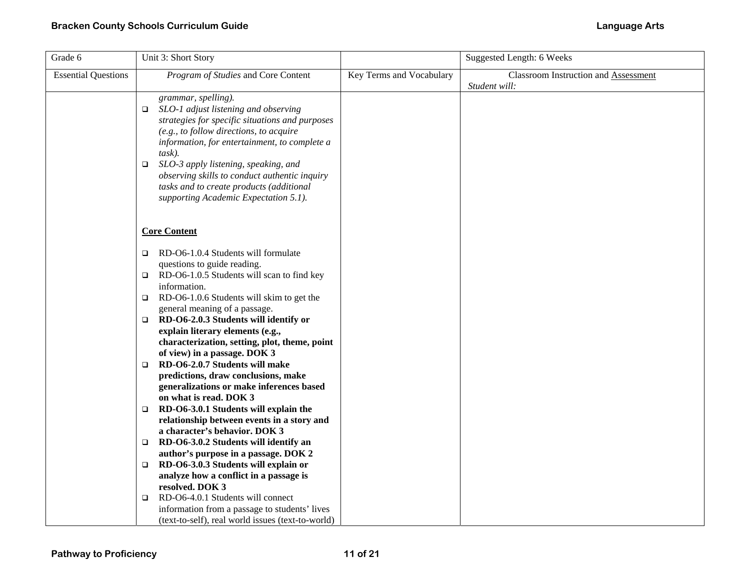| Grade 6                    | Unit 3: Short Story                                                                                                                                                                                                                                                                                                                                                                                                                                                                                                                                                                                                                                                                                                                                                                                                                                |                          | Suggested Length: 6 Weeks                                    |
|----------------------------|----------------------------------------------------------------------------------------------------------------------------------------------------------------------------------------------------------------------------------------------------------------------------------------------------------------------------------------------------------------------------------------------------------------------------------------------------------------------------------------------------------------------------------------------------------------------------------------------------------------------------------------------------------------------------------------------------------------------------------------------------------------------------------------------------------------------------------------------------|--------------------------|--------------------------------------------------------------|
| <b>Essential Questions</b> | Program of Studies and Core Content                                                                                                                                                                                                                                                                                                                                                                                                                                                                                                                                                                                                                                                                                                                                                                                                                | Key Terms and Vocabulary | <b>Classroom Instruction and Assessment</b><br>Student will: |
|                            | grammar, spelling).<br>SLO-1 adjust listening and observing<br>$\Box$<br>strategies for specific situations and purposes<br>$(e.g., to follow directions, to acquire$<br>information, for entertainment, to complete a<br>$task)$ .<br>SLO-3 apply listening, speaking, and<br>$\Box$<br>observing skills to conduct authentic inquiry<br>tasks and to create products (additional<br>supporting Academic Expectation 5.1).                                                                                                                                                                                                                                                                                                                                                                                                                        |                          |                                                              |
|                            | <b>Core Content</b>                                                                                                                                                                                                                                                                                                                                                                                                                                                                                                                                                                                                                                                                                                                                                                                                                                |                          |                                                              |
|                            | RD-O6-1.0.4 Students will formulate<br>$\Box$<br>questions to guide reading.<br>RD-O6-1.0.5 Students will scan to find key<br>$\Box$<br>information.<br>RD-O6-1.0.6 Students will skim to get the<br>$\Box$<br>general meaning of a passage.<br>$\Box$ RD-O6-2.0.3 Students will identify or<br>explain literary elements (e.g.,<br>characterization, setting, plot, theme, point<br>of view) in a passage. DOK 3<br>RD-O6-2.0.7 Students will make<br>O.<br>predictions, draw conclusions, make<br>generalizations or make inferences based<br>on what is read. DOK 3<br>$\Box$ RD-O6-3.0.1 Students will explain the<br>relationship between events in a story and<br>a character's behavior. DOK 3<br>RD-O6-3.0.2 Students will identify an<br>$\Box$<br>author's purpose in a passage. DOK 2<br>RD-O6-3.0.3 Students will explain or<br>$\Box$ |                          |                                                              |
|                            | analyze how a conflict in a passage is<br>resolved. DOK 3<br>RD-O6-4.0.1 Students will connect<br>□<br>information from a passage to students' lives<br>(text-to-self), real world issues (text-to-world)                                                                                                                                                                                                                                                                                                                                                                                                                                                                                                                                                                                                                                          |                          |                                                              |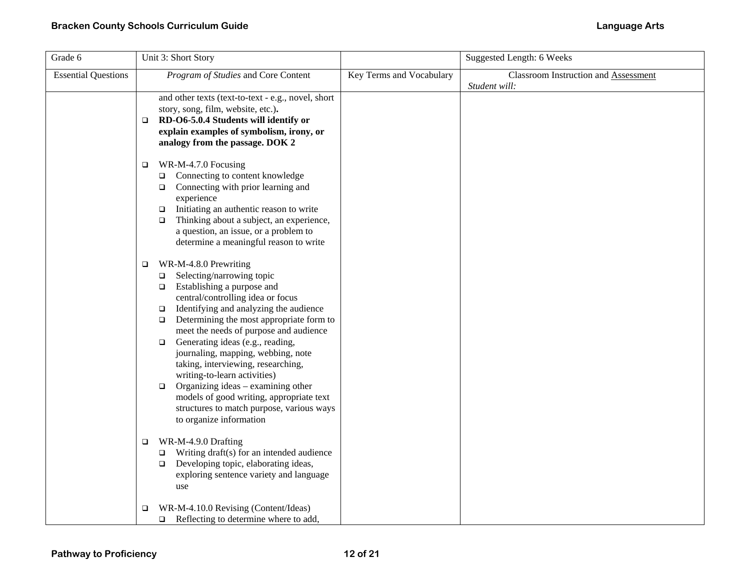| Grade 6                    | Unit 3: Short Story                                                                                                                                                                                                                                                                                                                                                                                                                                                                                                                                                                                                                   |                          | <b>Suggested Length: 6 Weeks</b>                      |
|----------------------------|---------------------------------------------------------------------------------------------------------------------------------------------------------------------------------------------------------------------------------------------------------------------------------------------------------------------------------------------------------------------------------------------------------------------------------------------------------------------------------------------------------------------------------------------------------------------------------------------------------------------------------------|--------------------------|-------------------------------------------------------|
| <b>Essential Questions</b> | Program of Studies and Core Content                                                                                                                                                                                                                                                                                                                                                                                                                                                                                                                                                                                                   | Key Terms and Vocabulary | Classroom Instruction and Assessment<br>Student will: |
|                            | and other texts (text-to-text - e.g., novel, short<br>story, song, film, website, etc.).<br>RD-O6-5.0.4 Students will identify or<br>$\Box$<br>explain examples of symbolism, irony, or<br>analogy from the passage. DOK 2                                                                                                                                                                                                                                                                                                                                                                                                            |                          |                                                       |
|                            | WR-M-4.7.0 Focusing<br>$\Box$<br>Connecting to content knowledge<br>$\Box$<br>Connecting with prior learning and<br>$\Box$<br>experience<br>Initiating an authentic reason to write<br>$\Box$<br>Thinking about a subject, an experience,<br>$\Box$<br>a question, an issue, or a problem to<br>determine a meaningful reason to write                                                                                                                                                                                                                                                                                                |                          |                                                       |
|                            | WR-M-4.8.0 Prewriting<br>$\Box$<br>Selecting/narrowing topic<br>$\Box$<br>Establishing a purpose and<br>$\Box$<br>central/controlling idea or focus<br>Identifying and analyzing the audience<br>$\Box$<br>Determining the most appropriate form to<br>$\Box$<br>meet the needs of purpose and audience<br>Generating ideas (e.g., reading,<br>$\Box$<br>journaling, mapping, webbing, note<br>taking, interviewing, researching,<br>writing-to-learn activities)<br>Organizing ideas - examining other<br>$\Box$<br>models of good writing, appropriate text<br>structures to match purpose, various ways<br>to organize information |                          |                                                       |
|                            | WR-M-4.9.0 Drafting<br>$\Box$<br>Writing draft(s) for an intended audience<br>$\Box$<br>Developing topic, elaborating ideas,<br>$\Box$<br>exploring sentence variety and language<br>use                                                                                                                                                                                                                                                                                                                                                                                                                                              |                          |                                                       |
|                            | WR-M-4.10.0 Revising (Content/Ideas)<br>□<br>Reflecting to determine where to add,<br>$\Box$                                                                                                                                                                                                                                                                                                                                                                                                                                                                                                                                          |                          |                                                       |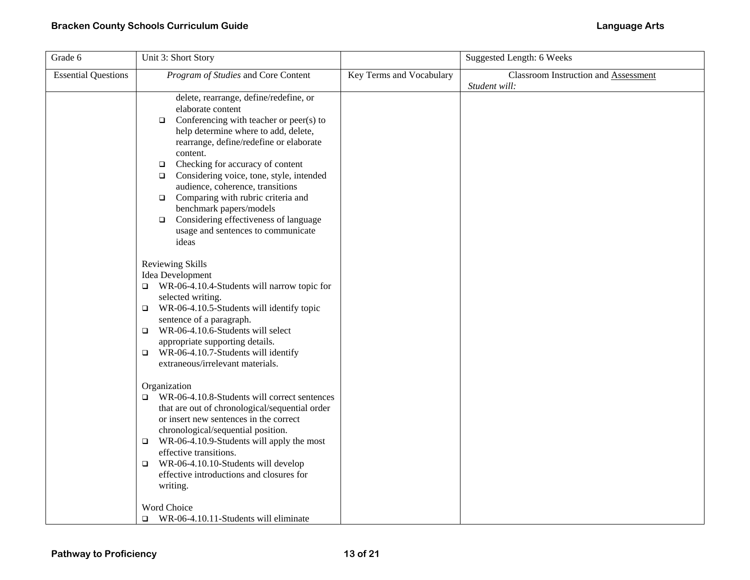| Grade 6                    | Unit 3: Short Story                                                                                                                                                                                                                                                                                                                                                                                                                                                                                                                  |                          | <b>Suggested Length: 6 Weeks</b>                      |
|----------------------------|--------------------------------------------------------------------------------------------------------------------------------------------------------------------------------------------------------------------------------------------------------------------------------------------------------------------------------------------------------------------------------------------------------------------------------------------------------------------------------------------------------------------------------------|--------------------------|-------------------------------------------------------|
| <b>Essential Questions</b> | Program of Studies and Core Content                                                                                                                                                                                                                                                                                                                                                                                                                                                                                                  | Key Terms and Vocabulary | Classroom Instruction and Assessment<br>Student will: |
|                            | delete, rearrange, define/redefine, or<br>elaborate content<br>Conferencing with teacher or peer(s) to<br>$\Box$<br>help determine where to add, delete,<br>rearrange, define/redefine or elaborate<br>content.<br>Checking for accuracy of content<br>$\Box$<br>Considering voice, tone, style, intended<br>$\Box$<br>audience, coherence, transitions<br>Comparing with rubric criteria and<br>$\Box$<br>benchmark papers/models<br>Considering effectiveness of language<br>$\Box$<br>usage and sentences to communicate<br>ideas |                          |                                                       |
|                            | Reviewing Skills<br>Idea Development<br>WR-06-4.10.4-Students will narrow topic for<br>$\Box$<br>selected writing.<br>WR-06-4.10.5-Students will identify topic<br>$\Box$<br>sentence of a paragraph.<br>WR-06-4.10.6-Students will select<br>$\Box$<br>appropriate supporting details.<br>WR-06-4.10.7-Students will identify<br>$\Box$<br>extraneous/irrelevant materials.                                                                                                                                                         |                          |                                                       |
|                            | Organization<br>WR-06-4.10.8-Students will correct sentences<br>□<br>that are out of chronological/sequential order<br>or insert new sentences in the correct<br>chronological/sequential position.<br>WR-06-4.10.9-Students will apply the most<br>$\Box$<br>effective transitions.<br>WR-06-4.10.10-Students will develop<br>$\Box$<br>effective introductions and closures for<br>writing.                                                                                                                                        |                          |                                                       |
|                            | Word Choice<br>WR-06-4.10.11-Students will eliminate<br>$\Box$                                                                                                                                                                                                                                                                                                                                                                                                                                                                       |                          |                                                       |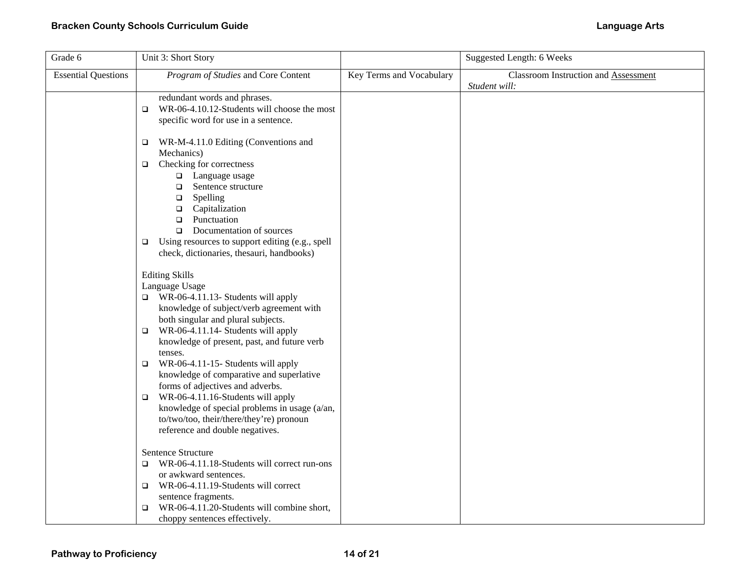| Grade 6                    | Unit 3: Short Story                                                                                                                                                                                                                                                                                                                                                                                                                                                                                                                                                                          |                          | <b>Suggested Length: 6 Weeks</b>                             |
|----------------------------|----------------------------------------------------------------------------------------------------------------------------------------------------------------------------------------------------------------------------------------------------------------------------------------------------------------------------------------------------------------------------------------------------------------------------------------------------------------------------------------------------------------------------------------------------------------------------------------------|--------------------------|--------------------------------------------------------------|
| <b>Essential Questions</b> | Program of Studies and Core Content                                                                                                                                                                                                                                                                                                                                                                                                                                                                                                                                                          | Key Terms and Vocabulary | <b>Classroom Instruction and Assessment</b><br>Student will: |
|                            | redundant words and phrases.<br>WR-06-4.10.12-Students will choose the most<br>$\Box$<br>specific word for use in a sentence.                                                                                                                                                                                                                                                                                                                                                                                                                                                                |                          |                                                              |
|                            | WR-M-4.11.0 Editing (Conventions and<br>$\Box$<br>Mechanics)<br>Checking for correctness<br>$\Box$<br>□ Language usage<br>Sentence structure<br>$\Box$<br>$\Box$<br>Spelling<br>Capitalization<br>$\Box$<br>Punctuation<br>$\Box$<br>Documentation of sources<br>$\Box$                                                                                                                                                                                                                                                                                                                      |                          |                                                              |
|                            | Using resources to support editing (e.g., spell<br>$\Box$<br>check, dictionaries, thesauri, handbooks)                                                                                                                                                                                                                                                                                                                                                                                                                                                                                       |                          |                                                              |
|                            | <b>Editing Skills</b><br>Language Usage<br>$\Box$ WR-06-4.11.13- Students will apply<br>knowledge of subject/verb agreement with<br>both singular and plural subjects.<br>$\Box$ WR-06-4.11.14- Students will apply<br>knowledge of present, past, and future verb<br>tenses.<br>WR-06-4.11-15- Students will apply<br>$\Box$<br>knowledge of comparative and superlative<br>forms of adjectives and adverbs.<br>WR-06-4.11.16-Students will apply<br>$\Box$<br>knowledge of special problems in usage (a/an,<br>to/two/too, their/there/they're) pronoun<br>reference and double negatives. |                          |                                                              |
|                            | Sentence Structure<br>WR-06-4.11.18-Students will correct run-ons<br>o<br>or awkward sentences.<br>WR-06-4.11.19-Students will correct<br>$\Box$<br>sentence fragments.<br>WR-06-4.11.20-Students will combine short,<br>$\Box$<br>choppy sentences effectively.                                                                                                                                                                                                                                                                                                                             |                          |                                                              |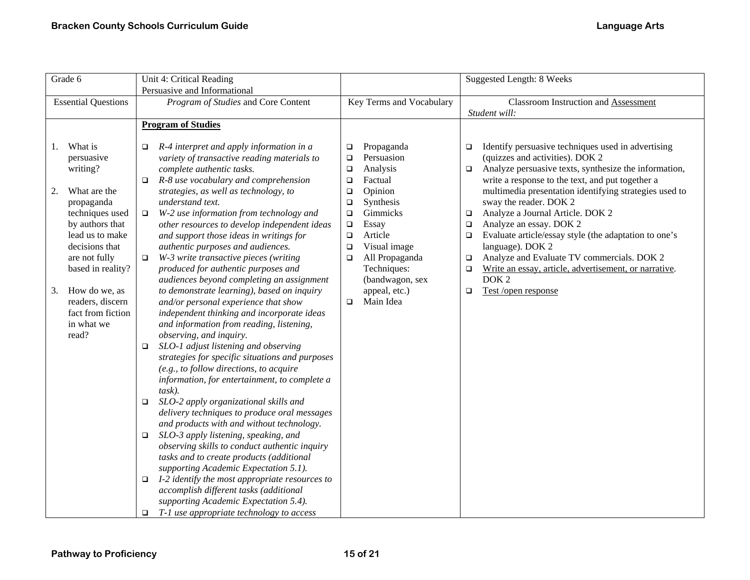| Grade 6                                                                                                                                                                                                                                                                             | Unit 4: Critical Reading                                                                                                                                                                                                                                                                                                                                                                                                                                                                                                                                                                                                                                                                                                                                                                                                                                                                                                                                                                                                                                                                                                                                                                                                                                                                                                                                                                                                                                                                                                                     |                                                                                                                                                                                                                                                                                                                                   | Suggested Length: 8 Weeks                                                                                                                                                                                                                                                                                                                                                                                                                                                                                                                                                                                                                                           |
|-------------------------------------------------------------------------------------------------------------------------------------------------------------------------------------------------------------------------------------------------------------------------------------|----------------------------------------------------------------------------------------------------------------------------------------------------------------------------------------------------------------------------------------------------------------------------------------------------------------------------------------------------------------------------------------------------------------------------------------------------------------------------------------------------------------------------------------------------------------------------------------------------------------------------------------------------------------------------------------------------------------------------------------------------------------------------------------------------------------------------------------------------------------------------------------------------------------------------------------------------------------------------------------------------------------------------------------------------------------------------------------------------------------------------------------------------------------------------------------------------------------------------------------------------------------------------------------------------------------------------------------------------------------------------------------------------------------------------------------------------------------------------------------------------------------------------------------------|-----------------------------------------------------------------------------------------------------------------------------------------------------------------------------------------------------------------------------------------------------------------------------------------------------------------------------------|---------------------------------------------------------------------------------------------------------------------------------------------------------------------------------------------------------------------------------------------------------------------------------------------------------------------------------------------------------------------------------------------------------------------------------------------------------------------------------------------------------------------------------------------------------------------------------------------------------------------------------------------------------------------|
|                                                                                                                                                                                                                                                                                     | Persuasive and Informational                                                                                                                                                                                                                                                                                                                                                                                                                                                                                                                                                                                                                                                                                                                                                                                                                                                                                                                                                                                                                                                                                                                                                                                                                                                                                                                                                                                                                                                                                                                 |                                                                                                                                                                                                                                                                                                                                   |                                                                                                                                                                                                                                                                                                                                                                                                                                                                                                                                                                                                                                                                     |
| <b>Essential Questions</b>                                                                                                                                                                                                                                                          | Program of Studies and Core Content                                                                                                                                                                                                                                                                                                                                                                                                                                                                                                                                                                                                                                                                                                                                                                                                                                                                                                                                                                                                                                                                                                                                                                                                                                                                                                                                                                                                                                                                                                          | Key Terms and Vocabulary                                                                                                                                                                                                                                                                                                          | <b>Classroom Instruction and Assessment</b>                                                                                                                                                                                                                                                                                                                                                                                                                                                                                                                                                                                                                         |
|                                                                                                                                                                                                                                                                                     |                                                                                                                                                                                                                                                                                                                                                                                                                                                                                                                                                                                                                                                                                                                                                                                                                                                                                                                                                                                                                                                                                                                                                                                                                                                                                                                                                                                                                                                                                                                                              |                                                                                                                                                                                                                                                                                                                                   | Student will:                                                                                                                                                                                                                                                                                                                                                                                                                                                                                                                                                                                                                                                       |
|                                                                                                                                                                                                                                                                                     | <b>Program of Studies</b>                                                                                                                                                                                                                                                                                                                                                                                                                                                                                                                                                                                                                                                                                                                                                                                                                                                                                                                                                                                                                                                                                                                                                                                                                                                                                                                                                                                                                                                                                                                    |                                                                                                                                                                                                                                                                                                                                   |                                                                                                                                                                                                                                                                                                                                                                                                                                                                                                                                                                                                                                                                     |
| What is<br>1.<br>persuasive<br>writing?<br>What are the<br>2.<br>propaganda<br>techniques used<br>by authors that<br>lead us to make<br>decisions that<br>are not fully<br>based in reality?<br>How do we, as<br>3.<br>readers, discern<br>fact from fiction<br>in what we<br>read? | R-4 interpret and apply information in a<br>$\Box$<br>variety of transactive reading materials to<br>complete authentic tasks.<br>R-8 use vocabulary and comprehension<br>$\Box$<br>strategies, as well as technology, to<br>understand text.<br>W-2 use information from technology and<br>$\Box$<br>other resources to develop independent ideas<br>and support those ideas in writings for<br>authentic purposes and audiences.<br>W-3 write transactive pieces (writing<br>$\Box$<br>produced for authentic purposes and<br>audiences beyond completing an assignment<br>to demonstrate learning), based on inquiry<br>and/or personal experience that show<br>independent thinking and incorporate ideas<br>and information from reading, listening,<br>observing, and inquiry.<br>SLO-1 adjust listening and observing<br>$\Box$<br>strategies for specific situations and purposes<br>(e.g., to follow directions, to acquire<br>information, for entertainment, to complete a<br>task).<br>SLO-2 apply organizational skills and<br>$\Box$<br>delivery techniques to produce oral messages<br>and products with and without technology.<br>SLO-3 apply listening, speaking, and<br>$\Box$<br>observing skills to conduct authentic inquiry<br>tasks and to create products (additional<br>supporting Academic Expectation 5.1).<br>I-2 identify the most appropriate resources to<br>$\Box$<br>accomplish different tasks (additional<br>supporting Academic Expectation 5.4).<br>T-1 use appropriate technology to access<br>$\Box$ | Propaganda<br>$\Box$<br>Persuasion<br>$\Box$<br>Analysis<br>$\Box$<br>Factual<br>$\Box$<br>Opinion<br>$\Box$<br>Synthesis<br>$\Box$<br>Gimmicks<br>$\Box$<br>Essay<br>$\Box$<br>Article<br>$\Box$<br>Visual image<br>$\Box$<br>All Propaganda<br>$\Box$<br>Techniques:<br>(bandwagon, sex<br>appeal, etc.)<br>Main Idea<br>$\Box$ | Identify persuasive techniques used in advertising<br>$\Box$<br>(quizzes and activities). DOK 2<br>Analyze persuasive texts, synthesize the information,<br>$\Box$<br>write a response to the text, and put together a<br>multimedia presentation identifying strategies used to<br>sway the reader. DOK 2<br>Analyze a Journal Article. DOK 2<br>$\Box$<br>Analyze an essay. DOK 2<br>$\Box$<br>Evaluate article/essay style (the adaptation to one's<br>$\Box$<br>language). DOK 2<br>Analyze and Evaluate TV commercials. DOK 2<br>$\Box$<br>Write an essay, article, advertisement, or narrative.<br>$\Box$<br>DOK <sub>2</sub><br>Test/open response<br>$\Box$ |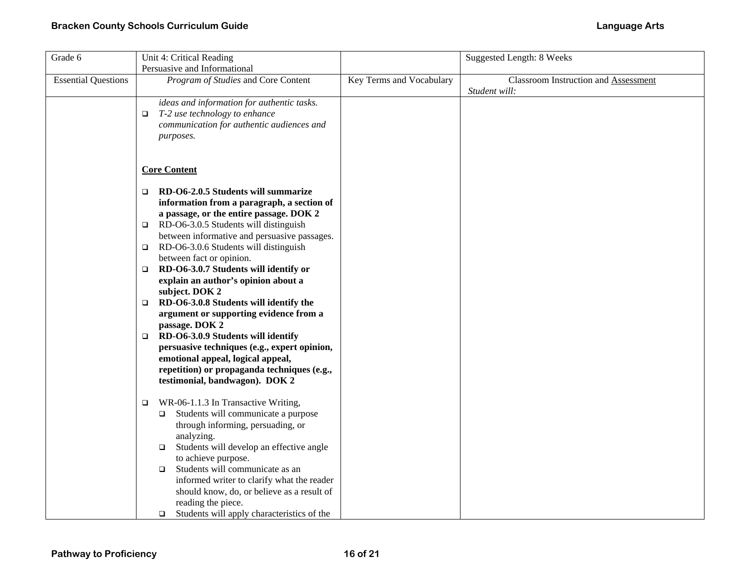| Grade 6                    | Unit 4: Critical Reading                                                                                                                                                                                                                                                                                                                                                                                                                                                                                                                                                                                                                                                                                                                                                   |                          | <b>Suggested Length: 8 Weeks</b>                             |
|----------------------------|----------------------------------------------------------------------------------------------------------------------------------------------------------------------------------------------------------------------------------------------------------------------------------------------------------------------------------------------------------------------------------------------------------------------------------------------------------------------------------------------------------------------------------------------------------------------------------------------------------------------------------------------------------------------------------------------------------------------------------------------------------------------------|--------------------------|--------------------------------------------------------------|
|                            | Persuasive and Informational                                                                                                                                                                                                                                                                                                                                                                                                                                                                                                                                                                                                                                                                                                                                               |                          |                                                              |
| <b>Essential Questions</b> | Program of Studies and Core Content                                                                                                                                                                                                                                                                                                                                                                                                                                                                                                                                                                                                                                                                                                                                        | Key Terms and Vocabulary | <b>Classroom Instruction and Assessment</b><br>Student will: |
|                            | ideas and information for authentic tasks.<br>T-2 use technology to enhance<br>$\Box$<br>communication for authentic audiences and<br>purposes.                                                                                                                                                                                                                                                                                                                                                                                                                                                                                                                                                                                                                            |                          |                                                              |
|                            | <b>Core Content</b>                                                                                                                                                                                                                                                                                                                                                                                                                                                                                                                                                                                                                                                                                                                                                        |                          |                                                              |
|                            | RD-O6-2.0.5 Students will summarize<br>$\Box$<br>information from a paragraph, a section of<br>a passage, or the entire passage. DOK 2<br>RD-O6-3.0.5 Students will distinguish<br>$\Box$<br>between informative and persuasive passages.<br>RD-O6-3.0.6 Students will distinguish<br>$\Box$<br>between fact or opinion.<br>RD-O6-3.0.7 Students will identify or<br>$\Box$<br>explain an author's opinion about a<br>subject. DOK 2<br>RD-O6-3.0.8 Students will identify the<br>$\Box$<br>argument or supporting evidence from a<br>passage. DOK 2<br>RD-O6-3.0.9 Students will identify<br>$\Box$<br>persuasive techniques (e.g., expert opinion,<br>emotional appeal, logical appeal,<br>repetition) or propaganda techniques (e.g.,<br>testimonial, bandwagon). DOK 2 |                          |                                                              |
|                            | WR-06-1.1.3 In Transactive Writing,<br>$\Box$<br>Students will communicate a purpose<br>$\Box$<br>through informing, persuading, or<br>analyzing.<br>Students will develop an effective angle<br>$\Box$<br>to achieve purpose.<br>Students will communicate as an<br>$\Box$<br>informed writer to clarify what the reader<br>should know, do, or believe as a result of<br>reading the piece.<br>Students will apply characteristics of the<br>$\Box$                                                                                                                                                                                                                                                                                                                      |                          |                                                              |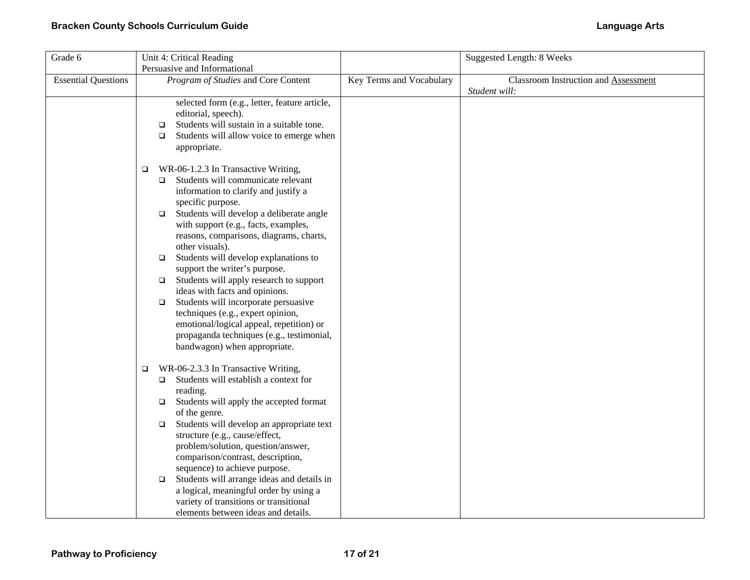| Grade 6                    | Unit 4: Critical Reading                                                                                                                                                                                                                                                                                                                                                                                                                                                                                                                                                                                                                                                                                          |                          | <b>Suggested Length: 8 Weeks</b>                             |
|----------------------------|-------------------------------------------------------------------------------------------------------------------------------------------------------------------------------------------------------------------------------------------------------------------------------------------------------------------------------------------------------------------------------------------------------------------------------------------------------------------------------------------------------------------------------------------------------------------------------------------------------------------------------------------------------------------------------------------------------------------|--------------------------|--------------------------------------------------------------|
|                            | Persuasive and Informational                                                                                                                                                                                                                                                                                                                                                                                                                                                                                                                                                                                                                                                                                      |                          |                                                              |
| <b>Essential Questions</b> | Program of Studies and Core Content                                                                                                                                                                                                                                                                                                                                                                                                                                                                                                                                                                                                                                                                               | Key Terms and Vocabulary | <b>Classroom Instruction and Assessment</b><br>Student will: |
|                            | selected form (e.g., letter, feature article,<br>editorial, speech).<br>Students will sustain in a suitable tone.<br>$\Box$<br>Students will allow voice to emerge when<br>$\Box$<br>appropriate.                                                                                                                                                                                                                                                                                                                                                                                                                                                                                                                 |                          |                                                              |
|                            | WR-06-1.2.3 In Transactive Writing,<br>$\Box$<br>Students will communicate relevant<br>$\Box$<br>information to clarify and justify a<br>specific purpose.<br>Students will develop a deliberate angle<br>$\Box$<br>with support (e.g., facts, examples,<br>reasons, comparisons, diagrams, charts,<br>other visuals).<br>Students will develop explanations to<br>$\Box$<br>support the writer's purpose.<br>Students will apply research to support<br>$\Box$<br>ideas with facts and opinions.<br>Students will incorporate persuasive<br>$\Box$<br>techniques (e.g., expert opinion,<br>emotional/logical appeal, repetition) or<br>propaganda techniques (e.g., testimonial,<br>bandwagon) when appropriate. |                          |                                                              |
|                            | WR-06-2.3.3 In Transactive Writing,<br>$\Box$<br>Students will establish a context for<br>$\Box$<br>reading.<br>Students will apply the accepted format<br>$\Box$<br>of the genre.<br>Students will develop an appropriate text<br>$\Box$<br>structure (e.g., cause/effect,<br>problem/solution, question/answer,<br>comparison/contrast, description,<br>sequence) to achieve purpose.<br>Students will arrange ideas and details in<br>$\Box$<br>a logical, meaningful order by using a<br>variety of transitions or transitional<br>elements between ideas and details.                                                                                                                                        |                          |                                                              |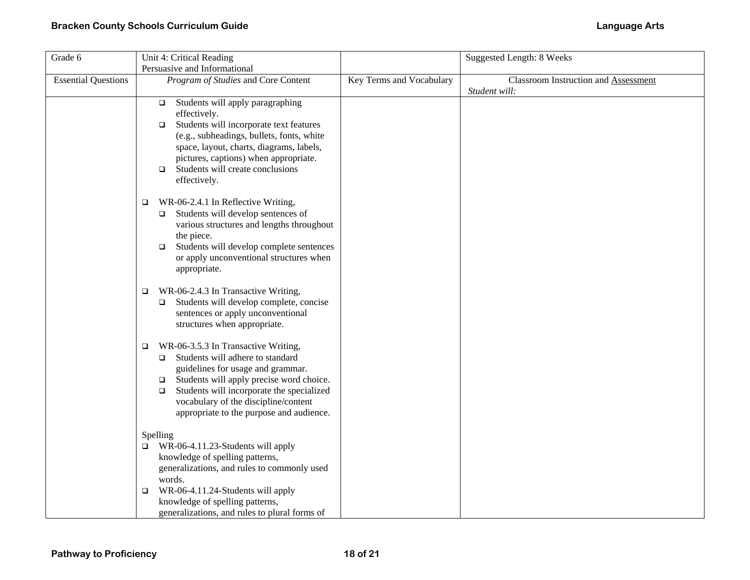| Grade 6                    | Unit 4: Critical Reading                                                                                                                                                                                                                                                                                                      |                          | <b>Suggested Length: 8 Weeks</b>                      |
|----------------------------|-------------------------------------------------------------------------------------------------------------------------------------------------------------------------------------------------------------------------------------------------------------------------------------------------------------------------------|--------------------------|-------------------------------------------------------|
|                            | Persuasive and Informational                                                                                                                                                                                                                                                                                                  |                          |                                                       |
| <b>Essential Questions</b> | Program of Studies and Core Content                                                                                                                                                                                                                                                                                           | Key Terms and Vocabulary | Classroom Instruction and Assessment<br>Student will: |
|                            | Students will apply paragraphing<br>$\Box$<br>effectively.<br>Students will incorporate text features<br>$\Box$<br>(e.g., subheadings, bullets, fonts, white<br>space, layout, charts, diagrams, labels,<br>pictures, captions) when appropriate.<br>Students will create conclusions<br>$\Box$<br>effectively.               |                          |                                                       |
|                            | WR-06-2.4.1 In Reflective Writing,<br>$\Box$<br>Students will develop sentences of<br>$\Box$<br>various structures and lengths throughout<br>the piece.<br>Students will develop complete sentences<br>$\Box$<br>or apply unconventional structures when<br>appropriate.                                                      |                          |                                                       |
|                            | WR-06-2.4.3 In Transactive Writing,<br>□<br>Students will develop complete, concise<br>$\Box$<br>sentences or apply unconventional<br>structures when appropriate.                                                                                                                                                            |                          |                                                       |
|                            | WR-06-3.5.3 In Transactive Writing,<br>o.<br>Students will adhere to standard<br>$\Box$<br>guidelines for usage and grammar.<br>Students will apply precise word choice.<br>$\Box$<br>Students will incorporate the specialized<br>$\Box$<br>vocabulary of the discipline/content<br>appropriate to the purpose and audience. |                          |                                                       |
|                            | Spelling<br>$\Box$ WR-06-4.11.23-Students will apply<br>knowledge of spelling patterns,<br>generalizations, and rules to commonly used<br>words.<br>WR-06-4.11.24-Students will apply<br>□<br>knowledge of spelling patterns,<br>generalizations, and rules to plural forms of                                                |                          |                                                       |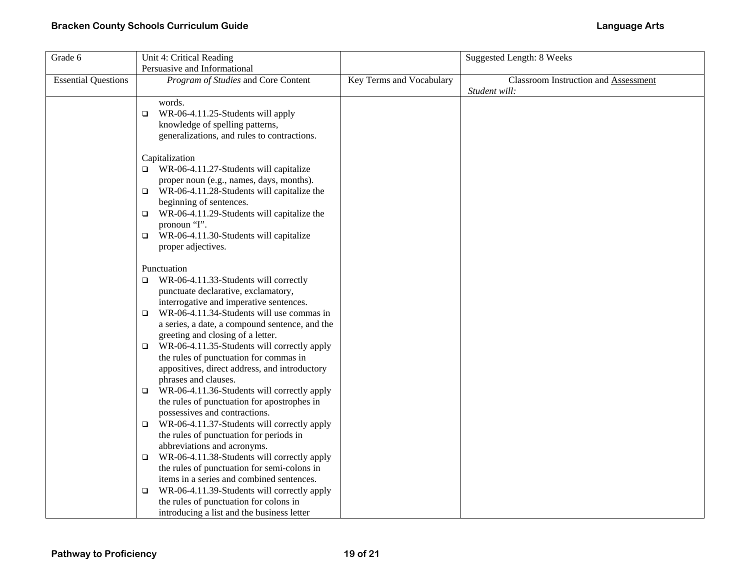| Grade 6                    | Unit 4: Critical Reading                              |                          | Suggested Length: 8 Weeks                             |
|----------------------------|-------------------------------------------------------|--------------------------|-------------------------------------------------------|
|                            | Persuasive and Informational                          |                          |                                                       |
| <b>Essential Questions</b> | Program of Studies and Core Content                   | Key Terms and Vocabulary | Classroom Instruction and Assessment<br>Student will: |
|                            | words.                                                |                          |                                                       |
|                            | WR-06-4.11.25-Students will apply<br>$\Box$           |                          |                                                       |
|                            | knowledge of spelling patterns,                       |                          |                                                       |
|                            | generalizations, and rules to contractions.           |                          |                                                       |
|                            |                                                       |                          |                                                       |
|                            | Capitalization                                        |                          |                                                       |
|                            | WR-06-4.11.27-Students will capitalize<br>$\Box$      |                          |                                                       |
|                            | proper noun (e.g., names, days, months).              |                          |                                                       |
|                            | WR-06-4.11.28-Students will capitalize the<br>$\Box$  |                          |                                                       |
|                            | beginning of sentences.                               |                          |                                                       |
|                            | WR-06-4.11.29-Students will capitalize the<br>$\Box$  |                          |                                                       |
|                            | pronoun "I".                                          |                          |                                                       |
|                            | WR-06-4.11.30-Students will capitalize<br>$\Box$      |                          |                                                       |
|                            | proper adjectives.                                    |                          |                                                       |
|                            | Punctuation                                           |                          |                                                       |
|                            | WR-06-4.11.33-Students will correctly<br>$\Box$       |                          |                                                       |
|                            | punctuate declarative, exclamatory,                   |                          |                                                       |
|                            | interrogative and imperative sentences.               |                          |                                                       |
|                            | WR-06-4.11.34-Students will use commas in<br>$\Box$   |                          |                                                       |
|                            | a series, a date, a compound sentence, and the        |                          |                                                       |
|                            | greeting and closing of a letter.                     |                          |                                                       |
|                            | WR-06-4.11.35-Students will correctly apply<br>$\Box$ |                          |                                                       |
|                            | the rules of punctuation for commas in                |                          |                                                       |
|                            | appositives, direct address, and introductory         |                          |                                                       |
|                            | phrases and clauses.                                  |                          |                                                       |
|                            | WR-06-4.11.36-Students will correctly apply<br>$\Box$ |                          |                                                       |
|                            | the rules of punctuation for apostrophes in           |                          |                                                       |
|                            | possessives and contractions.                         |                          |                                                       |
|                            | WR-06-4.11.37-Students will correctly apply<br>$\Box$ |                          |                                                       |
|                            | the rules of punctuation for periods in               |                          |                                                       |
|                            | abbreviations and acronyms.                           |                          |                                                       |
|                            | WR-06-4.11.38-Students will correctly apply<br>$\Box$ |                          |                                                       |
|                            | the rules of punctuation for semi-colons in           |                          |                                                       |
|                            | items in a series and combined sentences.             |                          |                                                       |
|                            | WR-06-4.11.39-Students will correctly apply<br>$\Box$ |                          |                                                       |
|                            | the rules of punctuation for colons in                |                          |                                                       |
|                            | introducing a list and the business letter            |                          |                                                       |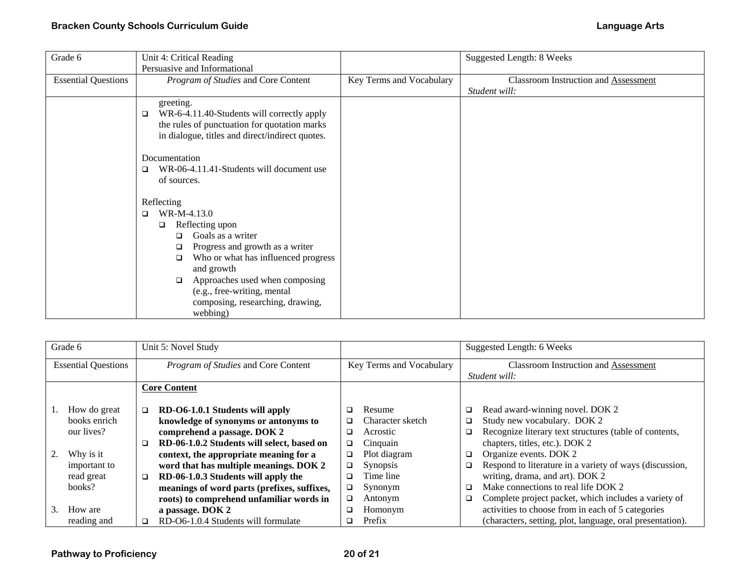| Grade 6                    | Unit 4: Critical Reading<br>Persuasive and Informational                                                                                                                                                                                                                                                       |                          | Suggested Length: 8 Weeks                             |
|----------------------------|----------------------------------------------------------------------------------------------------------------------------------------------------------------------------------------------------------------------------------------------------------------------------------------------------------------|--------------------------|-------------------------------------------------------|
| <b>Essential Questions</b> | Program of Studies and Core Content                                                                                                                                                                                                                                                                            | Key Terms and Vocabulary | Classroom Instruction and Assessment<br>Student will: |
|                            | greeting.<br>WR-6-4.11.40-Students will correctly apply<br>□<br>the rules of punctuation for quotation marks<br>in dialogue, titles and direct/indirect quotes.<br>Documentation<br>WR-06-4.11.41-Students will document use<br>□<br>of sources.                                                               |                          |                                                       |
|                            | Reflecting<br>WR-M-4.13.0<br>$\Box$<br>Reflecting upon<br>□<br>Goals as a writer<br>o.<br>Progress and growth as a writer<br>◻<br>Who or what has influenced progress<br>❏<br>and growth<br>Approaches used when composing<br>□<br>(e.g., free-writing, mental<br>composing, researching, drawing,<br>webbing) |                          |                                                       |

| Grade 6                    |        | Unit 5: Novel Study                         |   |                          |        | Suggested Length: 6 Weeks                                 |
|----------------------------|--------|---------------------------------------------|---|--------------------------|--------|-----------------------------------------------------------|
| <b>Essential Questions</b> |        | Program of Studies and Core Content         |   | Key Terms and Vocabulary |        | <b>Classroom Instruction and Assessment</b>               |
|                            |        |                                             |   |                          |        | Student will:                                             |
|                            |        | <b>Core Content</b>                         |   |                          |        |                                                           |
|                            |        |                                             |   |                          |        |                                                           |
| How do great               | ◻      | RD-O6-1.0.1 Students will apply             | ❏ | Resume                   | ❏      | Read award-winning novel. DOK 2                           |
| books enrich               |        | knowledge of synonyms or antonyms to        | ◻ | Character sketch         | $\Box$ | Study new vocabulary. DOK 2                               |
| our lives?                 |        | comprehend a passage. DOK 2                 | ❏ | Acrostic                 | □      | Recognize literary text structures (table of contents,    |
|                            | □      | RD-06-1.0.2 Students will select, based on  | □ | Cinquain                 |        | chapters, titles, etc.). DOK 2                            |
| Why is it                  |        | context, the appropriate meaning for a      | □ | Plot diagram             | □      | Organize events. DOK 2                                    |
| important to               |        | word that has multiple meanings. DOK 2      | □ | Synopsis                 | O      | Respond to literature in a variety of ways (discussion,   |
| read great                 | $\Box$ | RD-06-1.0.3 Students will apply the         | ◻ | Time line                |        | writing, drama, and art). DOK 2                           |
| books?                     |        | meanings of word parts (prefixes, suffixes, | □ | Synonym                  | □      | Make connections to real life DOK 2                       |
|                            |        | roots) to comprehend unfamiliar words in    | □ | Antonym                  | □      | Complete project packet, which includes a variety of      |
| How are<br>3.              |        | a passage. DOK 2                            | □ | Homonym                  |        | activities to choose from in each of 5 categories         |
| reading and                | □      | RD-O6-1.0.4 Students will formulate         | ❏ | Prefix                   |        | (characters, setting, plot, language, oral presentation). |